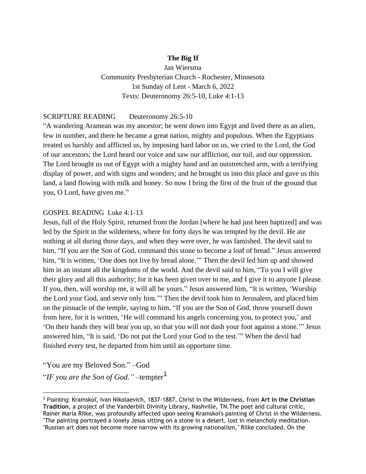## **The Big If**

Jan Wiersma Community Presbyterian Church - Rochester, Minnesota 1st Sunday of Lent - March 6, 2022 Texts: Deuteronomy 26:5-10, Luke 4:1-13

## SCRIPTURE READING Deuteronomy 26:5-10

"A wandering Aramean was my ancestor; he went down into Egypt and lived there as an alien, few in number, and there he became a great nation, mighty and populous. When the Egyptians treated us harshly and afflicted us, by imposing hard labor on us, we cried to the Lord, the God of our ancestors; the Lord heard our voice and saw our affliction, our toil, and our oppression. The Lord brought us out of Egypt with a mighty hand and an outstretched arm, with a terrifying display of power, and with signs and wonders; and he brought us into this place and gave us this land, a land flowing with milk and honey. So now I bring the first of the fruit of the ground that you, O Lord, have given me."

## GOSPEL READING Luke 4:1-13

Jesus, full of the Holy Spirit, returned from the Jordan [where he had just been baptized] and was led by the Spirit in the wilderness, where for forty days he was tempted by the devil. He ate nothing at all during those days, and when they were over, he was famished. The devil said to him, "If you are the Son of God, command this stone to become a loaf of bread." Jesus answered him, "It is written, 'One does not live by bread alone."" Then the devil led him up and showed him in an instant all the kingdoms of the world. And the devil said to him, "To you I will give their glory and all this authority; for it has been given over to me, and I give it to anyone I please. If you, then, will worship me, it will all be yours." Jesus answered him, "It is written, 'Worship the Lord your God, and serve only him.'" Then the devil took him to Jerusalem, and placed him on the pinnacle of the temple, saying to him, "If you are the Son of God, throw yourself down from here, for it is written, 'He will command his angels concerning you, to protect you,' and 'On their hands they will bear you up, so that you will not dash your foot against a stone.'" Jesus answered him, "It is said, 'Do not put the Lord your God to the test.'" When the devil had finished every test, he departed from him until an opportune time.

"You are my Beloved Son." –God

"*IF you are the Son of God." –*tempter<sup>1</sup>

<sup>1</sup> Painting: Kramskoĭ, Ivan Nikolaevich, 1837-1887. Christ in the Wilderness, from **Art in the Christian Tradition**, a project of the Vanderbilt Divinity Library, Nashville, TN.The poet and cultural critic, Rainer Maria Rilke, was profoundly affected upon seeing Kramskoi's painting of Christ in the Wilderness. "The painting portrayed a lonely Jesus sitting on a stone in a desert, lost in melancholy meditation. "Russian art does not become more narrow with its growing nationalism," Rilke concluded. On the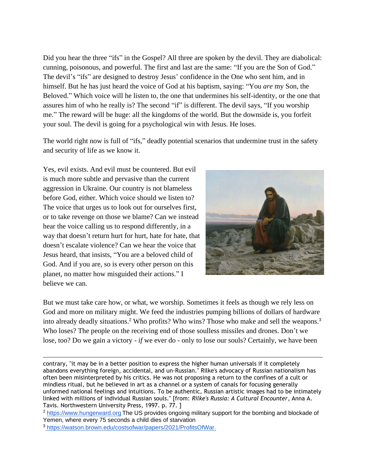Did you hear the three "ifs" in the Gospel? All three are spoken by the devil. They are diabolical: cunning, poisonous, and powerful. The first and last are the same: "If you are the Son of God." The devil's "ifs" are designed to destroy Jesus' confidence in the One who sent him, and in himself. But he has just heard the voice of God at his baptism, saying: "You *are* my Son, the Beloved." Which voice will he listen to, the one that undermines his self-identity, or the one that assures him of who he really is? The second "if" is different. The devil says, "If you worship me." The reward will be huge: all the kingdoms of the world. But the downside is, you forfeit your soul. The devil is going for a psychological win with Jesus. He loses.

The world right now is full of "ifs," deadly potential scenarios that undermine trust in the safety and security of life as we know it.

Yes, evil exists. And evil must be countered. But evil is much more subtle and pervasive than the current aggression in Ukraine. Our country is not blameless before God, either. Which voice should we listen to? The voice that urges us to look out for ourselves first, or to take revenge on those we blame? Can we instead hear the voice calling us to respond differently, in a way that doesn't return hurt for hurt, hate for hate, that doesn't escalate violence? Can we hear the voice that Jesus heard, that insists, "You are a beloved child of God. And if you are, so is every other person on this planet, no matter how misguided their actions." I believe we can.



But we must take care how, or what, we worship. Sometimes it feels as though we rely less on God and more on military might. We feed the industries pumping billions of dollars of hardware into already deadly situations.<sup>2</sup> Who profits? Who wins? Those who make and sell the weapons.<sup>3</sup> Who loses? The people on the receiving end of those soulless missiles and drones. Don't we lose, too? Do we gain a victory - *if* we ever do - only to lose our souls? Certainly, we have been

contrary, "it may be in a better position to express the higher human universals if it completely abandons everything foreign, accidental, and un-Russian." Rilke's advocacy of Russian nationalism has often been misinterpreted by his critics. He was not proposing a return to the confines of a cult or mindless ritual, but he believed in art as a channel or a system of canals for focusing generally unformed national feelings and intuitions. To be authentic, Russian artistic images had to be intimately linked with millions of individual Russian souls." [from: *Rilke's Russia: A Cultural Encounter*, Anna A. Tavis. Northwestern University Press, 1997. p. 77. ]

<sup>2</sup> [https://www.hungerward.org](https://www.hungerward.org/) The US provides ongoing military support for the bombing and blockade of Yemen, where every 75 seconds a child dies of starvation

<sup>3</sup> <https://watson.brown.edu/costsofwar/papers/2021/ProfitsOfWar.>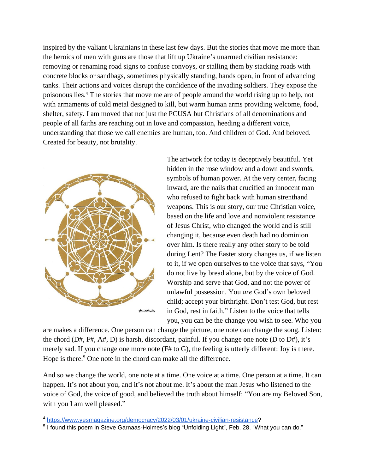inspired by the valiant Ukrainians in these last few days. But the stories that move me more than the heroics of men with guns are those that lift up Ukraine's unarmed civilian resistance: removing or renaming road signs to confuse convoys, or stalling them by stacking roads with concrete blocks or sandbags, sometimes physically standing, hands open, in front of advancing tanks. Their actions and voices disrupt the confidence of the invading soldiers. They expose the poisonous lies.<sup>4</sup> The stories that move me are of people around the world rising up to help, not with armaments of cold metal designed to kill, but warm human arms providing welcome, food, shelter, safety. I am moved that not just the PCUSA but Christians of all denominations and people of all faiths are reaching out in love and compassion, heeding a different voice, understanding that those we call enemies are human, too. And children of God. And beloved. Created for beauty, not brutality.



The artwork for today is deceptively beautiful. Yet hidden in the rose window and a down and swords, symbols of human power. At the very center, facing inward, are the nails that crucified an innocent man who refused to fight back with human strenthand weapons. This is our story, our true Christian voice, based on the life and love and nonviolent resistance of Jesus Christ, who changed the world and is still changing it, because even death had no dominion over him. Is there really any other story to be told during Lent? The Easter story changes us, if we listen to it, if we open ourselves to the voice that says, "You do not live by bread alone, but by the voice of God. Worship and serve that God, and not the power of unlawful possession. You *are* God's own beloved child; accept your birthright. Don't test God, but rest in God, rest in faith." Listen to the voice that tells you, you can be the change you wish to see. Who you

are makes a difference. One person can change the picture, one note can change the song. Listen: the chord (D#, F#, A#, D) is harsh, discordant, painful. If you change one note (D to D#), it's merely sad. If you change one more note (F# to G), the feeling is utterly different: Joy is there. Hope is there.<sup>5</sup> One note in the chord can make all the difference.

And so we change the world, one note at a time. One voice at a time. One person at a time. It can happen. It's not about you, and it's not about me. It's about the man Jesus who listened to the voice of God, the voice of good, and believed the truth about himself: "You are my Beloved Son, with you I am well pleased."

<sup>4</sup> [https://www.yesmagazine.org/democracy/2022/03/01/ukraine-civilian-resistance?](https://www.yesmagazine.org/democracy/2022/03/01/ukraine-civilian-resistance)

<sup>&</sup>lt;sup>5</sup> I found this poem in Steve Garnaas-Holmes's blog "Unfolding Light", Feb. 28. "What you can do."